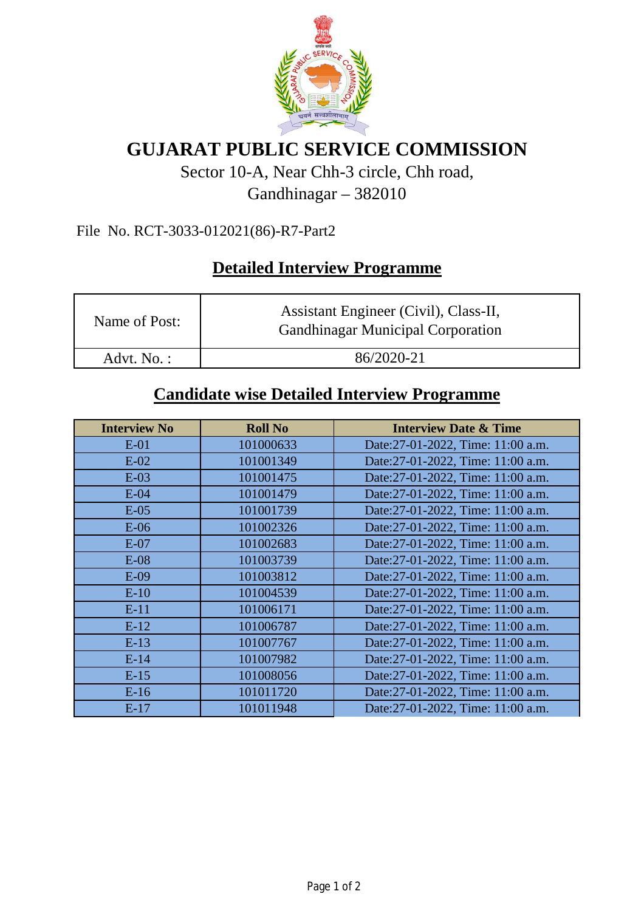

# **GUJARAT PUBLIC SERVICE COMMISSION**

## Sector 10-A, Near Chh-3 circle, Chh road, Gandhinagar – 382010

#### File No. RCT-3033-012021(86)-R7-Part2

## **Detailed Interview Programme**

| Name of Post: | Assistant Engineer (Civil), Class-II,<br><b>Gandhinagar Municipal Corporation</b> |  |
|---------------|-----------------------------------------------------------------------------------|--|
| Advt. No.:    | 86/2020-21                                                                        |  |

### **Candidate wise Detailed Interview Programme**

| <b>Interview No</b> | <b>Roll No</b> | <b>Interview Date &amp; Time</b>  |
|---------------------|----------------|-----------------------------------|
| $E-01$              | 101000633      | Date:27-01-2022, Time: 11:00 a.m. |
| $E-02$              | 101001349      | Date:27-01-2022, Time: 11:00 a.m. |
| $E-03$              | 101001475      | Date:27-01-2022, Time: 11:00 a.m. |
| $E-04$              | 101001479      | Date:27-01-2022, Time: 11:00 a.m. |
| $E-05$              | 101001739      | Date:27-01-2022, Time: 11:00 a.m. |
| $E-06$              | 101002326      | Date:27-01-2022, Time: 11:00 a.m. |
| $E-07$              | 101002683      | Date:27-01-2022, Time: 11:00 a.m. |
| $E-08$              | 101003739      | Date:27-01-2022, Time: 11:00 a.m. |
| $E-09$              | 101003812      | Date:27-01-2022, Time: 11:00 a.m. |
| $E-10$              | 101004539      | Date:27-01-2022, Time: 11:00 a.m. |
| $E-11$              | 101006171      | Date:27-01-2022, Time: 11:00 a.m. |
| $E-12$              | 101006787      | Date:27-01-2022, Time: 11:00 a.m. |
| $E-13$              | 101007767      | Date:27-01-2022, Time: 11:00 a.m. |
| $E-14$              | 101007982      | Date:27-01-2022, Time: 11:00 a.m. |
| $E-15$              | 101008056      | Date:27-01-2022, Time: 11:00 a.m. |
| $E-16$              | 101011720      | Date:27-01-2022, Time: 11:00 a.m. |
| $E-17$              | 101011948      | Date:27-01-2022, Time: 11:00 a.m. |